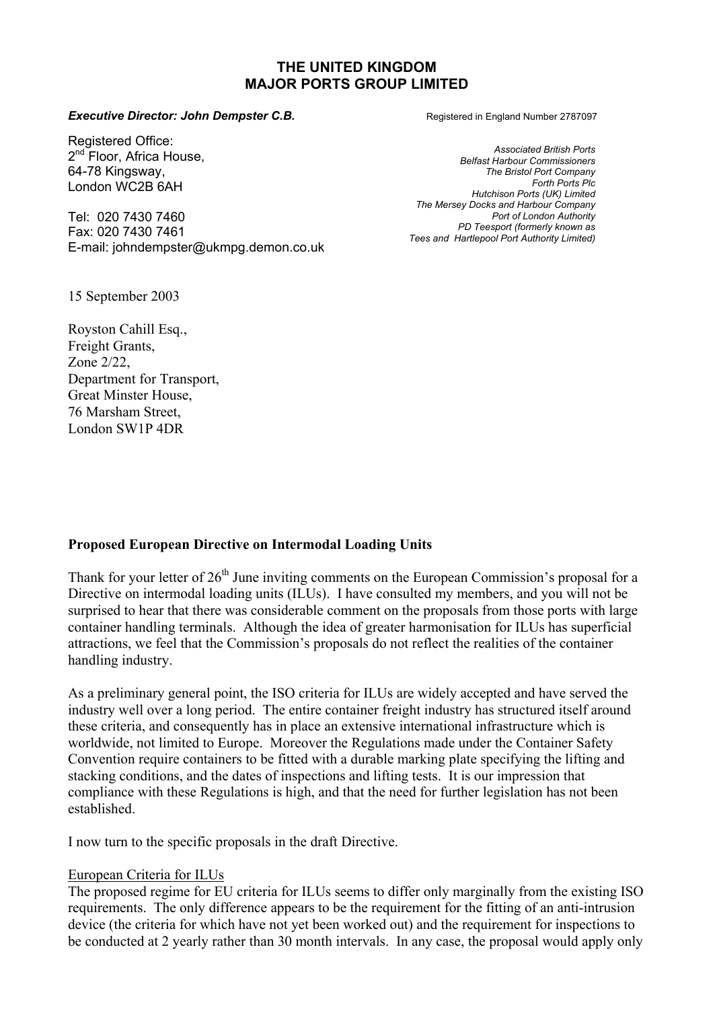### **THE UNITED KINGDOM MAJOR PORTS GROUP LIMITED**

#### **Executive Director: John Dempster C.B. Registered in England Number 2787097**

Registered Office: 2<sup>nd</sup> Floor, Africa House, 64-78 Kingsway, London WC2B 6AH

Tel: 020 7430 7460 Fax: 020 7430 7461 E-mail: johndempster@ukmpg.demon.co.uk

15 September 2003

Royston Cahill Esq., Freight Grants, Zone 2/22, Department for Transport, Great Minster House, 76 Marsham Street, London SW1P 4DR

*Associated British Ports Belfast Harbour Commissioners The Bristol Port Company Forth Ports Plc Hutchison Ports (UK) Limited The Mersey Docks and Harbour Company Port of London Authority PD Teesport (formerly known as Tees and Hartlepool Port Authority Limited)* 

# **Proposed European Directive on Intermodal Loading Units**

Thank for your letter of  $26<sup>th</sup>$  June inviting comments on the European Commission's proposal for a Directive on intermodal loading units (ILUs). I have consulted my members, and you will not be surprised to hear that there was considerable comment on the proposals from those ports with large container handling terminals. Although the idea of greater harmonisation for ILUs has superficial attractions, we feel that the Commission's proposals do not reflect the realities of the container handling industry.

As a preliminary general point, the ISO criteria for ILUs are widely accepted and have served the industry well over a long period. The entire container freight industry has structured itself around these criteria, and consequently has in place an extensive international infrastructure which is worldwide, not limited to Europe. Moreover the Regulations made under the Container Safety Convention require containers to be fitted with a durable marking plate specifying the lifting and stacking conditions, and the dates of inspections and lifting tests. It is our impression that compliance with these Regulations is high, and that the need for further legislation has not been established.

I now turn to the specific proposals in the draft Directive.

### European Criteria for ILUs

The proposed regime for EU criteria for ILUs seems to differ only marginally from the existing ISO requirements. The only difference appears to be the requirement for the fitting of an anti-intrusion device (the criteria for which have not yet been worked out) and the requirement for inspections to be conducted at 2 yearly rather than 30 month intervals. In any case, the proposal would apply only